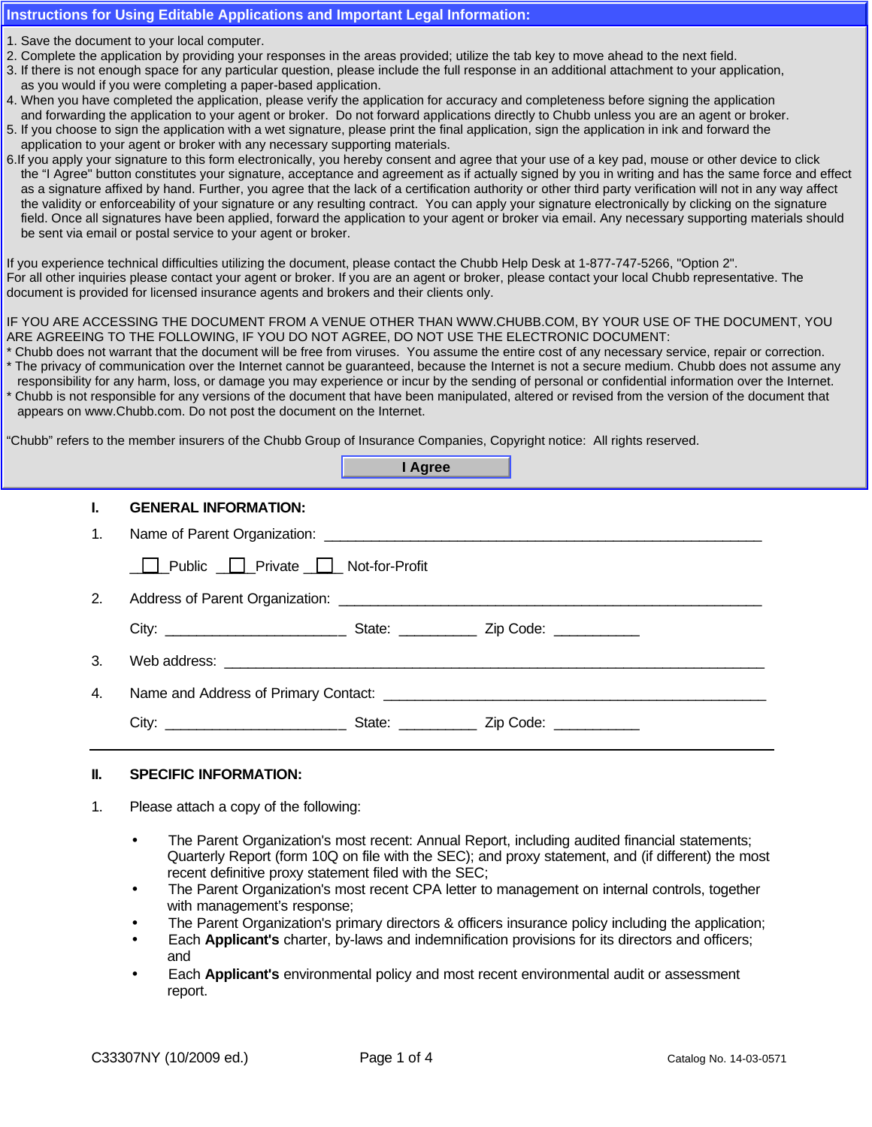## **Instructions for Using Editable Applications and Important Legal Information:**

- 1. Save the document to your local computer.
- *Chubb Group of Insurance Companies* 2. Complete the application by providing your responses in the areas provided; utilize the tab key to move ahead to the next field.
- *l* providing your responses in the areas provided; utilize the tab key to move ahead to the next field.<br>I for any particular question, please include the full response in an additional attachment to your application, as you would if you were completing a paper-based application. *Directors and Officers Liability Insurance* 3. If there is not enough space for any particular question, please include the full response in an additional attachment to your application,
- 4. When you have completed the application, please verify the application for accuracy and completeness before signing the application and forwarding the application to your agent or broker. Do not forward applications directly to Chubb unless you are an agent or broker.
- 5. If you choose to sign the application with a wet signature, please print the final application, sign the application in ink and forward the application to your agent or broker with any necessary supporting materials.
- 6. If you apply your signature to this form electronically, you hereby consent and agree that your use of a key pad, mouse or other device to click the "I Agree" button constitutes your signature, acceptance and agreement as if actually signed by you in writing and has the same force and effect the validity or enforceability of your signature or any resulting contract. You can apply your signature electronically by clicking on the signature field. Once all signatures have been applied, forward the application to your agent or broker via email. Any necessary supporting materials should **PERIOD SERIOR CONTROLS EXTENDED AT A PERIOD SERIOD SERIOR CONTROLS CONTROLS CONTROLS ANY OR ANY OR ANY OR ANY OR ANY OR ANY OR ANY OR ANY OR ANY OR ANY OR ANY OR ANY OR ANY OR ANY OR ANY OR ANY OR ANY OR ANY OR ANY OR ANY** as a signature affixed by hand. Further, you agree that the lack of a certification authority or other third party verification will not in any way affect

If you experience technical difficulties utilizing the document, please contact the Chubb Help Desk at 1-877-747-5266, "Option 2". if you experience technical uniculities utilizing the uccurrient, please contact the Chubb Help Desk at 1-077-747-5200, Option 2.<br>For all other inquiries please contact your agent or broker. If you are an agent or broker, For all other inquiried pieace contact your agent or broker. If you are an agent or broker, pieace contact your local entitle is<br>document is provided for licensed insurance agents and brokers and their clients only. **SETTLEMENT IN EXCESSION IN EXCESSION IN EXCESSION IN A PROPERTY OF LIMIT OF LIMIT OF LIMIT OF LIMIT OF LIMIT O** 

#### IF YOU ARE ACCESSING THE DOCUMENT FROM A VENUE OTHER THAN WWW.CHUBB.COM, BY YOUR USE OF THE DOCUMENT, YOU ARE AGREEING TO THE FOLLOWING, IF YOU DO NOT AGREE, DO NOT USE THE ELECTRONIC DOCUMENT:

- Chubb does not warrant that the document will be free from viruses. You assume the entire cost of any necessary service, repair or correction.
- \* The privacy of communication over the Internet cannot be guaranteed, because the Internet is not a secure medium. Chubb does not assume any \* Chubb is not responsible for any versions of the document that have been manipulated, altered or revised from the version of the document that appears on www.Chubb.com. Do not post the document on the Internet. responsibility for any harm, loss, or damage you may experience or incur by the sending of personal or confidential information over the Internet.

"Chubb" refers to the member insurers of the Chubb Group of Insurance Companies, Copyright notice: All rights reserved.

|    | I Agree                                                                                       |  |
|----|-----------------------------------------------------------------------------------------------|--|
| ъ. | <b>GENERAL INFORMATION:</b>                                                                   |  |
| 1. |                                                                                               |  |
|    | □ Public □ Private □ Not-for-Profit                                                           |  |
| 2. |                                                                                               |  |
|    |                                                                                               |  |
| 3. |                                                                                               |  |
| 4. | Name and Address of Primary Contact: Name of the Second State and Address of Primary Contact: |  |
|    |                                                                                               |  |
|    |                                                                                               |  |

## **II. SPECIFIC INFORMATION:**

- 1. Please attach a copy of the following:
	- The Parent Organization's most recent: Annual Report, including audited financial statements; Quarterly Report (form 10Q on file with the SEC); and proxy statement, and (if different) the most recent definitive proxy statement filed with the SEC;
	- The Parent Organization's most recent CPA letter to management on internal controls, together with management's response;
	- The Parent Organization's primary directors & officers insurance policy including the application;
	- Each **Applicant's** charter, by-laws and indemnification provisions for its directors and officers; and
	- Each **Applicant's** environmental policy and most recent environmental audit or assessment report.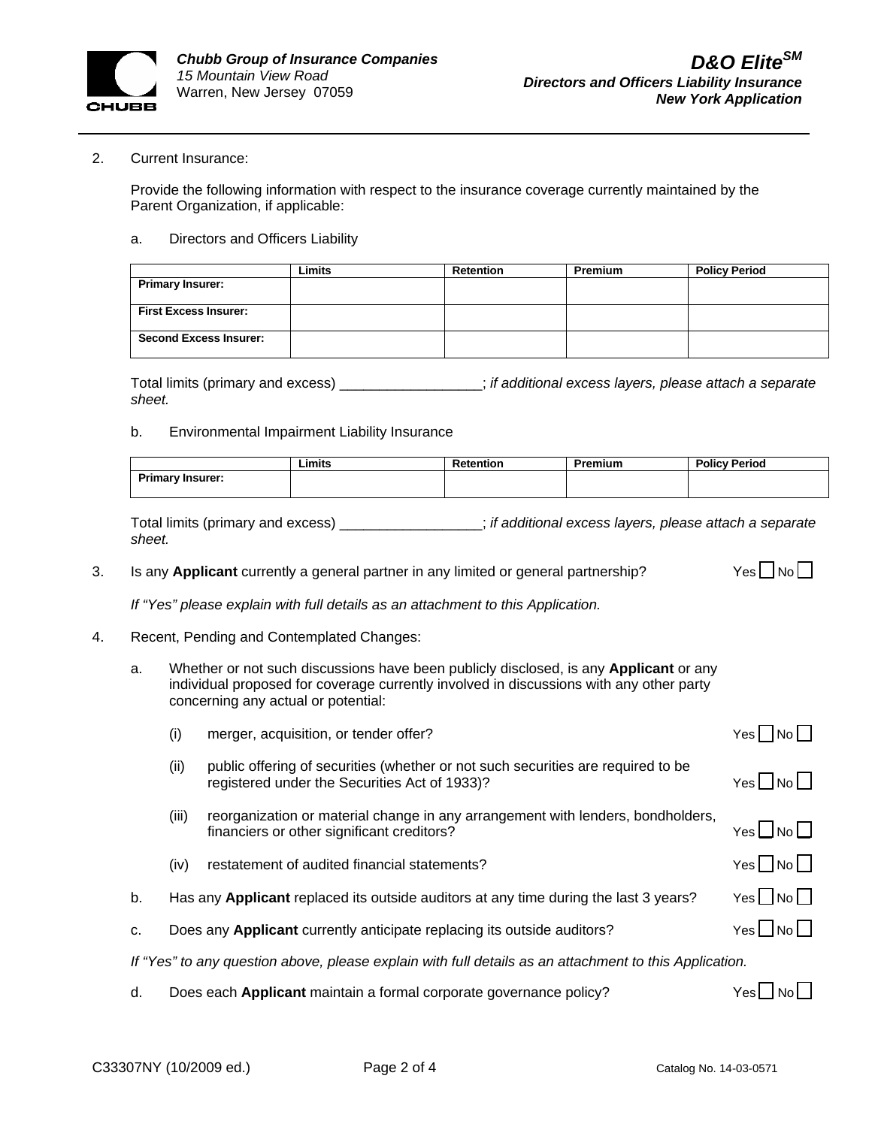

#### 2. Current Insurance:

Provide the following information with respect to the insurance coverage currently maintained by the Parent Organization, if applicable:

#### a. Directors and Officers Liability

|                               | Limits | <b>Retention</b> | <b>Premium</b> | <b>Policy Period</b> |
|-------------------------------|--------|------------------|----------------|----------------------|
| <b>Primary Insurer:</b>       |        |                  |                |                      |
|                               |        |                  |                |                      |
| <b>First Excess Insurer:</b>  |        |                  |                |                      |
|                               |        |                  |                |                      |
| <b>Second Excess Insurer:</b> |        |                  |                |                      |
|                               |        |                  |                |                      |

Total limits (primary and excess) \_\_\_\_\_\_\_\_\_\_\_\_\_\_\_\_\_\_; *if additional excess layers, please attach a separate sheet.* 

#### b. Environmental Impairment Liability Insurance

|                                 | . .<br>Limits | ------<br>ntion | Premium | <b>Policy Period</b> |
|---------------------------------|---------------|-----------------|---------|----------------------|
| <b>Primary Insurer:</b><br>тшпа |               |                 |         |                      |
|                                 |               |                 |         |                      |

Total limits (primary and excess) \_\_\_\_\_\_\_\_\_\_\_\_\_\_\_\_\_\_; *if additional excess layers, please attach a separate sheet.* 

3. Is any Applicant currently a general partner in any limited or general partnership?  $Yes \Box No \Box$ 

*If "Yes" please explain with full details as an attachment to this Application.*

- 4. Recent, Pending and Contemplated Changes:
	- a. Whether or not such discussions have been publicly disclosed, is any **Applicant** or any individual proposed for coverage currently involved in discussions with any other party concerning any actual or potential:

|                                                                                                        | (i)   | merger, acquisition, or tender offer?                                                                                             | Yesl                         |  |
|--------------------------------------------------------------------------------------------------------|-------|-----------------------------------------------------------------------------------------------------------------------------------|------------------------------|--|
|                                                                                                        | (ii)  | public offering of securities (whether or not such securities are required to be<br>registered under the Securities Act of 1933)? | $Yes \Box No \Box$           |  |
|                                                                                                        | (iii) | reorganization or material change in any arrangement with lenders, bondholders,<br>financiers or other significant creditors?     | $Yes \bigsqcup No \bigsqcup$ |  |
|                                                                                                        | (iv)  | restatement of audited financial statements?                                                                                      | $Yes \Box No \Box$           |  |
| b.                                                                                                     |       | Has any Applicant replaced its outside auditors at any time during the last 3 years?                                              | $Yes \Box No \Box$           |  |
| C <sub>1</sub>                                                                                         |       | Does any Applicant currently anticipate replacing its outside auditors?                                                           | $Yes \Box No \Box$           |  |
| If "Yes" to any question above, please explain with full details as an attachment to this Application. |       |                                                                                                                                   |                              |  |
|                                                                                                        |       |                                                                                                                                   |                              |  |

d. Does each **Applicant** maintain a formal corporate governance policy? Yes Yes No No No No No No No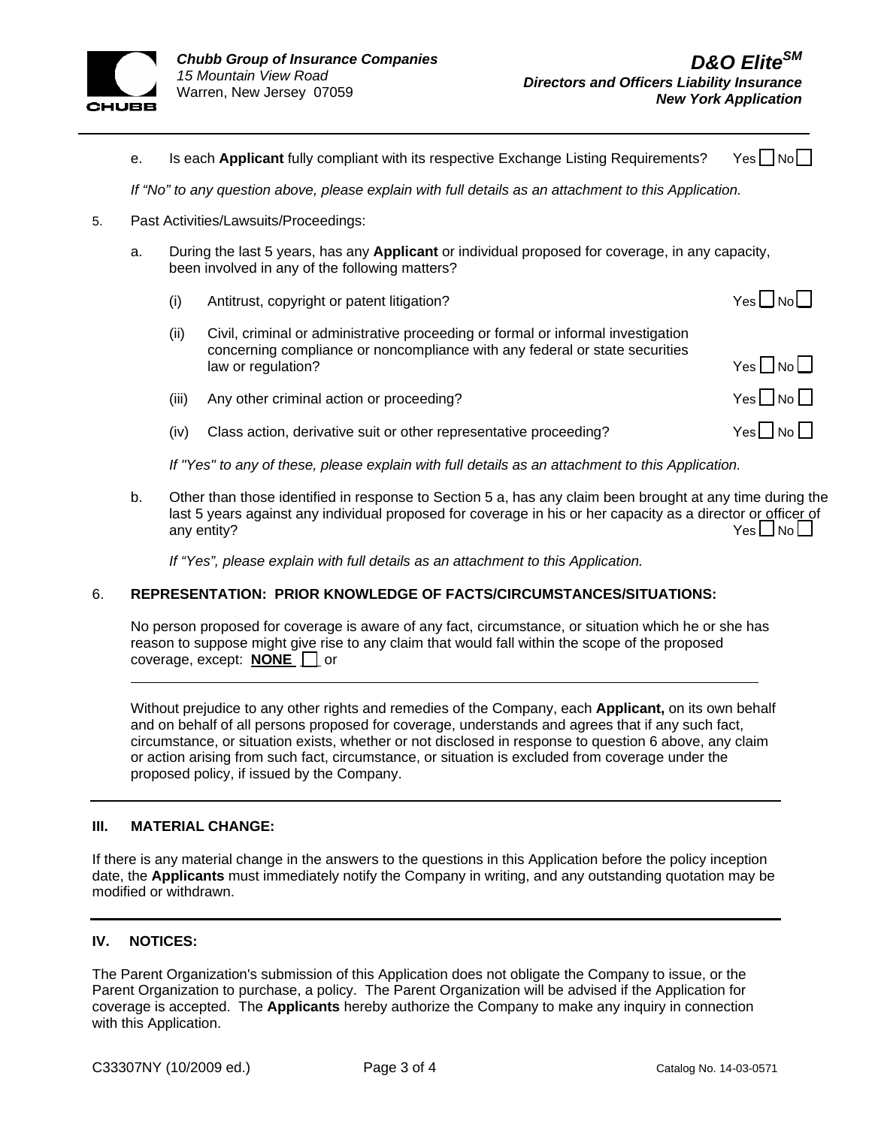

|    | е.                                    |                                                                                                       | Is each Applicant fully compliant with its respective Exchange Listing Requirements?                                                                                                  | Yesl               |  |
|----|---------------------------------------|-------------------------------------------------------------------------------------------------------|---------------------------------------------------------------------------------------------------------------------------------------------------------------------------------------|--------------------|--|
|    |                                       | If "No" to any question above, please explain with full details as an attachment to this Application. |                                                                                                                                                                                       |                    |  |
| 5. | Past Activities/Lawsuits/Proceedings: |                                                                                                       |                                                                                                                                                                                       |                    |  |
|    | a.                                    |                                                                                                       | During the last 5 years, has any <b>Applicant</b> or individual proposed for coverage, in any capacity,<br>been involved in any of the following matters?                             |                    |  |
|    |                                       | (i)                                                                                                   | Antitrust, copyright or patent litigation?                                                                                                                                            | $Yes \Box No \Box$ |  |
|    |                                       | (ii)                                                                                                  | Civil, criminal or administrative proceeding or formal or informal investigation<br>concerning compliance or noncompliance with any federal or state securities<br>law or regulation? | $Yes \Box No \Box$ |  |
|    |                                       | (iii)                                                                                                 | Any other criminal action or proceeding?                                                                                                                                              | $Yes \Box No \Box$ |  |
|    |                                       | (iv)                                                                                                  | Class action, derivative suit or other representative proceeding?                                                                                                                     | Yesl INoll         |  |
|    |                                       |                                                                                                       |                                                                                                                                                                                       |                    |  |

*If "Yes" to any of these, please explain with full details as an attachment to this Application.* 

b. Other than those identified in response to Section 5 a, has any claim been brought at any time during the last 5 years against any individual proposed for coverage in his or her capacity as a director or officer of any entity?  $\blacksquare$ 

*If "Yes", please explain with full details as an attachment to this Application.*

## 6. **REPRESENTATION: PRIOR KNOWLEDGE OF FACTS/CIRCUMSTANCES/SITUATIONS:**

No person proposed for coverage is aware of any fact, circumstance, or situation which he or she has reason to suppose might give rise to any claim that would fall within the scope of the proposed coverage, except: **NONE** or

Without prejudice to any other rights and remedies of the Company, each **Applicant,** on its own behalf and on behalf of all persons proposed for coverage, understands and agrees that if any such fact, circumstance, or situation exists, whether or not disclosed in response to question 6 above, any claim or action arising from such fact, circumstance, or situation is excluded from coverage under the proposed policy, if issued by the Company.

## **III. MATERIAL CHANGE:**

If there is any material change in the answers to the questions in this Application before the policy inception date, the **Applicants** must immediately notify the Company in writing, and any outstanding quotation may be modified or withdrawn.

# **IV. NOTICES:**

 $\overline{a}$ 

The Parent Organization's submission of this Application does not obligate the Company to issue, or the Parent Organization to purchase, a policy. The Parent Organization will be advised if the Application for coverage is accepted. The **Applicants** hereby authorize the Company to make any inquiry in connection with this Application.